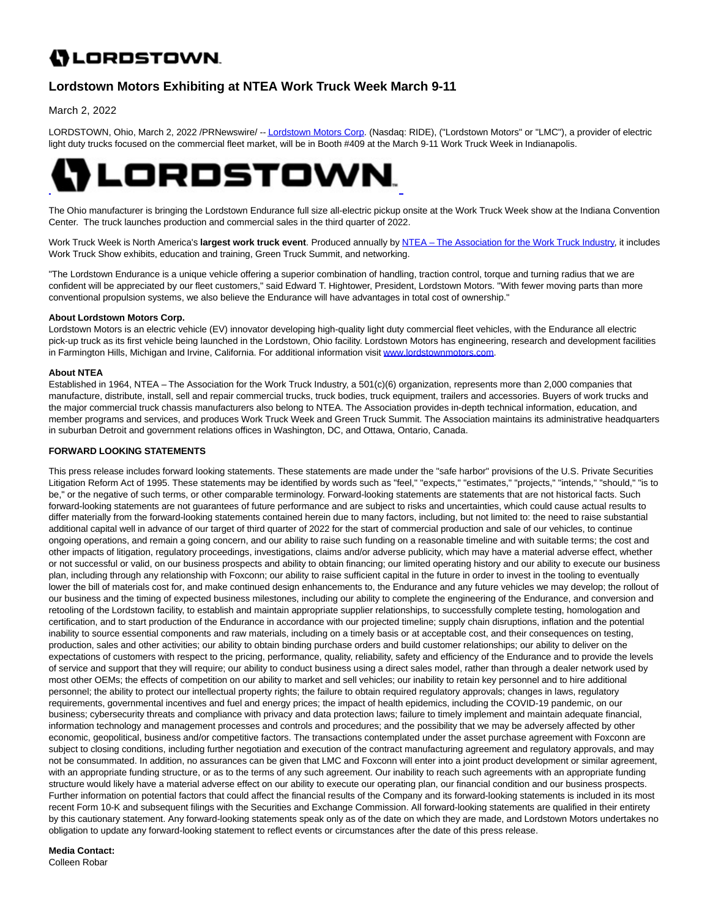# **()** LORDSTOWN.

## **Lordstown Motors Exhibiting at NTEA Work Truck Week March 9-11**

March 2, 2022

LORDSTOWN, Ohio, March 2, 2022 /PRNewswire/ -[- Lordstown Motors Corp.](https://c212.net/c/link/?t=0&l=en&o=3459989-1&h=3631412380&u=http%3A%2F%2Fwww.lordstownmotors.com%2F&a=Lordstown+Motors+Corp) (Nasdaq: RIDE), ("Lordstown Motors" or "LMC"), a provider of electric light duty trucks focused on the commercial fleet market, will be in Booth #409 at the March 9-11 Work Truck Week in Indianapolis.



The Ohio manufacturer is bringing the Lordstown Endurance full size all-electric pickup onsite at the Work Truck Week show at the Indiana Convention Center. The truck launches production and commercial sales in the third quarter of 2022.

Work Truck Week is North America's **largest work truck event**. Produced annually by [NTEA – The Association for the Work Truck Industry,](https://c212.net/c/link/?t=0&l=en&o=3459989-1&h=2293319120&u=https%3A%2F%2Fwww.ntea.com%2F&a=NTEA+%E2%80%93+The+Association+for+the+Work+Truck+Industry) it includes Work Truck Show exhibits, education and training, Green Truck Summit, and networking.

"The Lordstown Endurance is a unique vehicle offering a superior combination of handling, traction control, torque and turning radius that we are confident will be appreciated by our fleet customers," said Edward T. Hightower, President, Lordstown Motors. "With fewer moving parts than more conventional propulsion systems, we also believe the Endurance will have advantages in total cost of ownership."

#### **About Lordstown Motors Corp.**

Lordstown Motors is an electric vehicle (EV) innovator developing high-quality light duty commercial fleet vehicles, with the Endurance all electric pick-up truck as its first vehicle being launched in the Lordstown, Ohio facility. Lordstown Motors has engineering, research and development facilities in Farmington Hills, Michigan and Irvine, California. For additional information visit [www.lordstownmotors.com.](https://c212.net/c/link/?t=0&l=en&o=3459989-1&h=3225974626&u=http%3A%2F%2Fwww.lordstownmotors.com%2F&a=www.lordstownmotors.com)

### **About NTEA**

Established in 1964, NTEA – The Association for the Work Truck Industry, a 501(c)(6) organization, represents more than 2,000 companies that manufacture, distribute, install, sell and repair commercial trucks, truck bodies, truck equipment, trailers and accessories. Buyers of work trucks and the major commercial truck chassis manufacturers also belong to NTEA. The Association provides in-depth technical information, education, and member programs and services, and produces Work Truck Week and Green Truck Summit. The Association maintains its administrative headquarters in suburban Detroit and government relations offices in Washington, DC, and Ottawa, Ontario, Canada.

### **FORWARD LOOKING STATEMENTS**

This press release includes forward looking statements. These statements are made under the "safe harbor" provisions of the U.S. Private Securities Litigation Reform Act of 1995. These statements may be identified by words such as "feel," "expects," "estimates," "projects," "intends," "should," "is to be," or the negative of such terms, or other comparable terminology. Forward-looking statements are statements that are not historical facts. Such forward-looking statements are not guarantees of future performance and are subject to risks and uncertainties, which could cause actual results to differ materially from the forward-looking statements contained herein due to many factors, including, but not limited to: the need to raise substantial additional capital well in advance of our target of third quarter of 2022 for the start of commercial production and sale of our vehicles, to continue ongoing operations, and remain a going concern, and our ability to raise such funding on a reasonable timeline and with suitable terms; the cost and other impacts of litigation, regulatory proceedings, investigations, claims and/or adverse publicity, which may have a material adverse effect, whether or not successful or valid, on our business prospects and ability to obtain financing; our limited operating history and our ability to execute our business plan, including through any relationship with Foxconn; our ability to raise sufficient capital in the future in order to invest in the tooling to eventually lower the bill of materials cost for, and make continued design enhancements to, the Endurance and any future vehicles we may develop; the rollout of our business and the timing of expected business milestones, including our ability to complete the engineering of the Endurance, and conversion and retooling of the Lordstown facility, to establish and maintain appropriate supplier relationships, to successfully complete testing, homologation and certification, and to start production of the Endurance in accordance with our projected timeline; supply chain disruptions, inflation and the potential inability to source essential components and raw materials, including on a timely basis or at acceptable cost, and their consequences on testing, production, sales and other activities; our ability to obtain binding purchase orders and build customer relationships; our ability to deliver on the expectations of customers with respect to the pricing, performance, quality, reliability, safety and efficiency of the Endurance and to provide the levels of service and support that they will require; our ability to conduct business using a direct sales model, rather than through a dealer network used by most other OEMs; the effects of competition on our ability to market and sell vehicles; our inability to retain key personnel and to hire additional personnel; the ability to protect our intellectual property rights; the failure to obtain required regulatory approvals; changes in laws, regulatory requirements, governmental incentives and fuel and energy prices; the impact of health epidemics, including the COVID-19 pandemic, on our business; cybersecurity threats and compliance with privacy and data protection laws; failure to timely implement and maintain adequate financial, information technology and management processes and controls and procedures; and the possibility that we may be adversely affected by other economic, geopolitical, business and/or competitive factors. The transactions contemplated under the asset purchase agreement with Foxconn are subject to closing conditions, including further negotiation and execution of the contract manufacturing agreement and regulatory approvals, and may not be consummated. In addition, no assurances can be given that LMC and Foxconn will enter into a joint product development or similar agreement, with an appropriate funding structure, or as to the terms of any such agreement. Our inability to reach such agreements with an appropriate funding structure would likely have a material adverse effect on our ability to execute our operating plan, our financial condition and our business prospects. Further information on potential factors that could affect the financial results of the Company and its forward-looking statements is included in its most recent Form 10-K and subsequent filings with the Securities and Exchange Commission. All forward-looking statements are qualified in their entirety by this cautionary statement. Any forward-looking statements speak only as of the date on which they are made, and Lordstown Motors undertakes no obligation to update any forward-looking statement to reflect events or circumstances after the date of this press release.

### **Media Contact:**

Colleen Robar